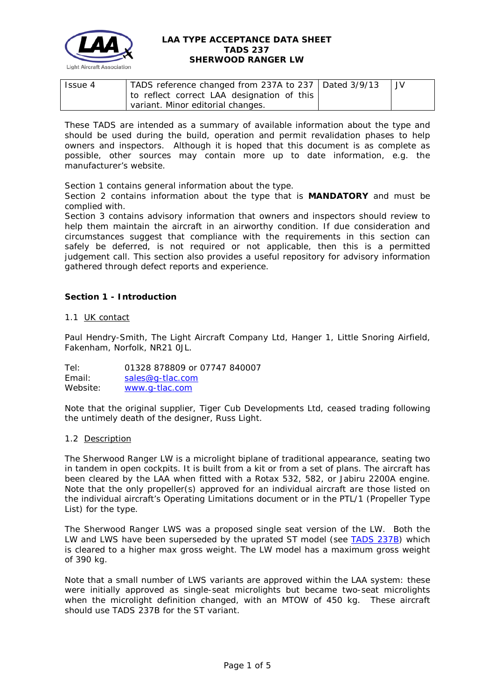

| Issue 4 | TADS reference changed from 237A to 237   Dated 3/9/13 |  |
|---------|--------------------------------------------------------|--|
|         | to reflect correct LAA designation of this             |  |
|         | variant. Minor editorial changes.                      |  |

These TADS are intended as a summary of available information about the type and should be used during the build, operation and permit revalidation phases to help owners and inspectors. Although it is hoped that this document is as complete as possible, other sources may contain more up to date information, e.g. the manufacturer's website.

Section 1 contains general information about the type.

Section 2 contains information about the type that is **MANDATORY** and must be complied with.

Section 3 contains advisory information that owners and inspectors should review to help them maintain the aircraft in an airworthy condition. If due consideration and circumstances suggest that compliance with the requirements in this section can safely be deferred, is not required or not applicable, then this is a permitted judgement call. This section also provides a useful repository for advisory information gathered through defect reports and experience.

# **Section 1 - Introduction**

### 1.1 UK contact

Paul Hendry-Smith, The Light Aircraft Company Ltd, Hanger 1, Little Snoring Airfield, Fakenham, Norfolk, NR21 0JL.

Tel: 01328 878809 or 07747 840007 Email: [sales@g-tlac.com](mailto:sales@g-tlac.com) Website: [www.g-tlac.com](http://www.g-tlac.com/)

Note that the original supplier, Tiger Cub Developments Ltd, ceased trading following the untimely death of the designer, Russ Light.

#### 1.2 Description

The Sherwood Ranger LW is a microlight biplane of traditional appearance, seating two in tandem in open cockpits. It is built from a kit or from a set of plans. The aircraft has been cleared by the LAA when fitted with a Rotax 532, 582, or Jabiru 2200A engine. Note that the only propeller(s) approved for an individual aircraft are those listed on the individual aircraft's Operating Limitations document or in the PTL/1 (Propeller Type List) for the type.

The Sherwood Ranger LWS was a proposed single seat version of the LW. Both the LW and LWS have been superseded by the uprated ST model (see [TADS 237B\)](http://www.lightaircraftassociation.co.uk/engineering/TADs/237B%20SHERWOOD%20RANGER%20ST.pdf) which is cleared to a higher max gross weight. The LW model has a maximum gross weight of 390 kg.

Note that a small number of LWS variants are approved within the LAA system: these were initially approved as single-seat microlights but became two-seat microlights when the microlight definition changed, with an MTOW of 450 kg. These aircraft should use TADS 237B for the ST variant.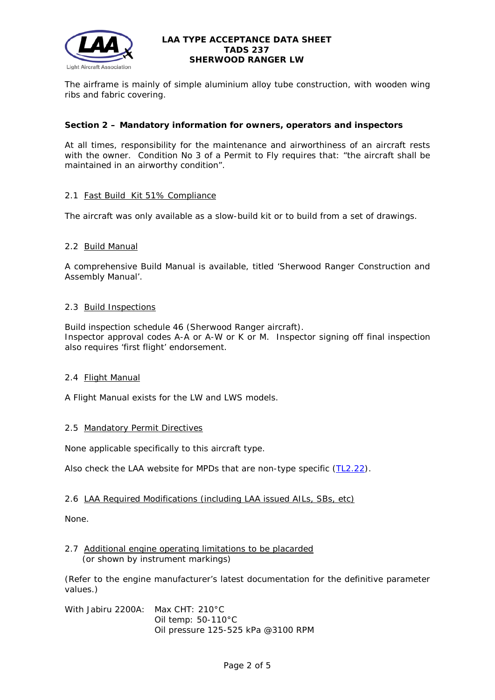

The airframe is mainly of simple aluminium alloy tube construction, with wooden wing ribs and fabric covering.

## **Section 2 – Mandatory information for owners, operators and inspectors**

At all times, responsibility for the maintenance and airworthiness of an aircraft rests with the owner. Condition No 3 of a Permit to Fly requires that: *"the aircraft shall be maintained in an airworthy condition".* 

## 2.1 Fast Build Kit 51% Compliance

The aircraft was only available as a slow-build kit or to build from a set of drawings.

## 2.2 Build Manual

A comprehensive Build Manual is available, titled 'Sherwood Ranger Construction and Assembly Manual'.

## 2.3 Build Inspections

Build inspection schedule 46 (Sherwood Ranger aircraft). Inspector approval codes A-A or A-W or K or M. Inspector signing off final inspection also requires 'first flight' endorsement.

## 2.4 Flight Manual

A Flight Manual exists for the LW and LWS models.

## 2.5 Mandatory Permit Directives

None applicable specifically to this aircraft type.

Also check the LAA website for MPDs that are non-type specific [\(TL2.22\)](http://www.lightaircraftassociation.co.uk/engineering/TechnicalLeaflets/Operating%20An%20Aircraft/TL%202.22%20non-type%20specific%20MPDs.pdf).

## 2.6 LAA Required Modifications (including LAA issued AILs, SBs, etc)

None.

### 2.7 Additional engine operating limitations to be placarded (or shown by instrument markings)

(Refer to the engine manufacturer's latest documentation for the definitive parameter values.)

With Jabiru 2200A: Max CHT: 210°C Oil temp: 50-110°C Oil pressure 125-525 kPa @3100 RPM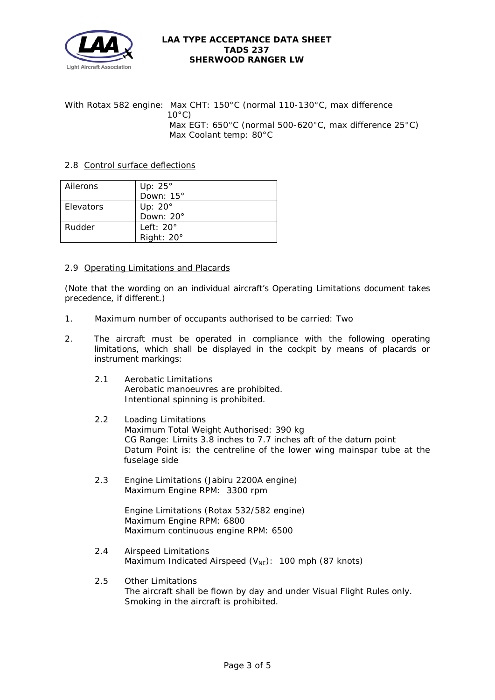

With Rotax 582 engine: Max CHT: 150°C (normal 110-130°C, max difference  $10^{\circ}$ C) Max EGT: 650°C (normal 500-620°C, max difference 25°C) Max Coolant temp: 80°C

# 2.8 Control surface deflections

| Ailerons  | Up: $25^\circ$    |
|-----------|-------------------|
|           | Down: 15°         |
| Elevators | Up: $20^\circ$    |
|           | Down: 20°         |
| Rudder    | Left: $20^\circ$  |
|           | Right: $20^\circ$ |

## 2.9 Operating Limitations and Placards

(Note that the wording on an individual aircraft's Operating Limitations document takes precedence, if different.)

- 1. Maximum number of occupants authorised to be carried: Two
- 2. The aircraft must be operated in compliance with the following operating limitations, which shall be displayed in the cockpit by means of placards or instrument markings:
	- 2.1 Aerobatic Limitations Aerobatic manoeuvres are prohibited. Intentional spinning is prohibited.
	- 2.2 Loading Limitations Maximum Total Weight Authorised: 390 kg CG Range: Limits 3.8 inches to 7.7 inches aft of the datum point Datum Point is: the centreline of the lower wing mainspar tube at the fuselage side
	- 2.3 Engine Limitations (Jabiru 2200A engine) Maximum Engine RPM: 3300 rpm

Engine Limitations (Rotax 532/582 engine) Maximum Engine RPM: 6800 Maximum continuous engine RPM: 6500

- 2.4 Airspeed Limitations Maximum Indicated Airspeed  $(V_{NE})$ : 100 mph (87 knots)
- 2.5 Other Limitations The aircraft shall be flown by day and under Visual Flight Rules only. Smoking in the aircraft is prohibited.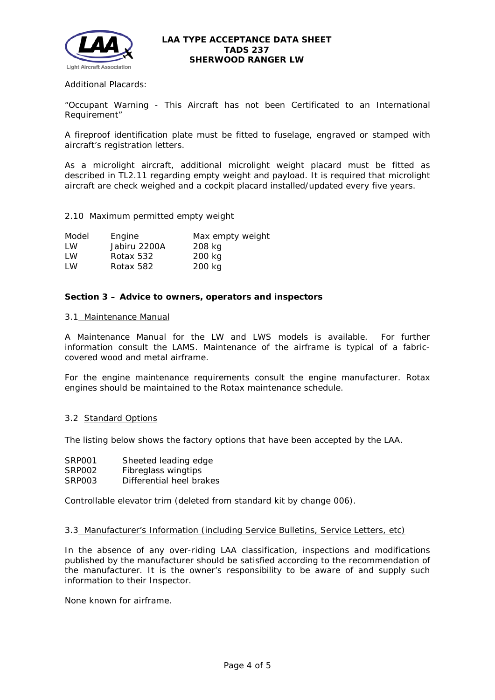

Additional Placards:

"Occupant Warning - This Aircraft has not been Certificated to an International Requirement"

A fireproof identification plate must be fitted to fuselage, engraved or stamped with aircraft's registration letters.

As a microlight aircraft, additional microlight weight placard must be fitted as described in TL2.11 regarding empty weight and payload. It is required that microlight aircraft are check weighed and a cockpit placard installed/updated every five years.

#### 2.10 Maximum permitted empty weight

| Model | Engine       | Max empty weight |
|-------|--------------|------------------|
| I W   | Jabiru 2200A | 208 kg           |
| I W   | Rotax 532    | 200 kg           |
| LW    | Rotax 582    | 200 kg           |

### **Section 3 – Advice to owners, operators and inspectors**

#### 3.1 Maintenance Manual

A Maintenance Manual for the LW and LWS models is available. For further information consult the LAMS. Maintenance of the airframe is typical of a fabriccovered wood and metal airframe.

For the engine maintenance requirements consult the engine manufacturer. Rotax engines should be maintained to the Rotax maintenance schedule.

#### 3.2 Standard Options

The listing below shows the factory options that have been accepted by the LAA.

| SRP001 | Sheeted leading edge     |
|--------|--------------------------|
| SRP002 | Fibreglass wingtips      |
| SRP003 | Differential heel brakes |

Controllable elevator trim (deleted from standard kit by change 006).

#### 3.3 Manufacturer's Information (including Service Bulletins, Service Letters, etc)

In the absence of any over-riding LAA classification, inspections and modifications published by the manufacturer should be satisfied according to the recommendation of the manufacturer. It is the owner's responsibility to be aware of and supply such information to their Inspector.

None known for airframe.